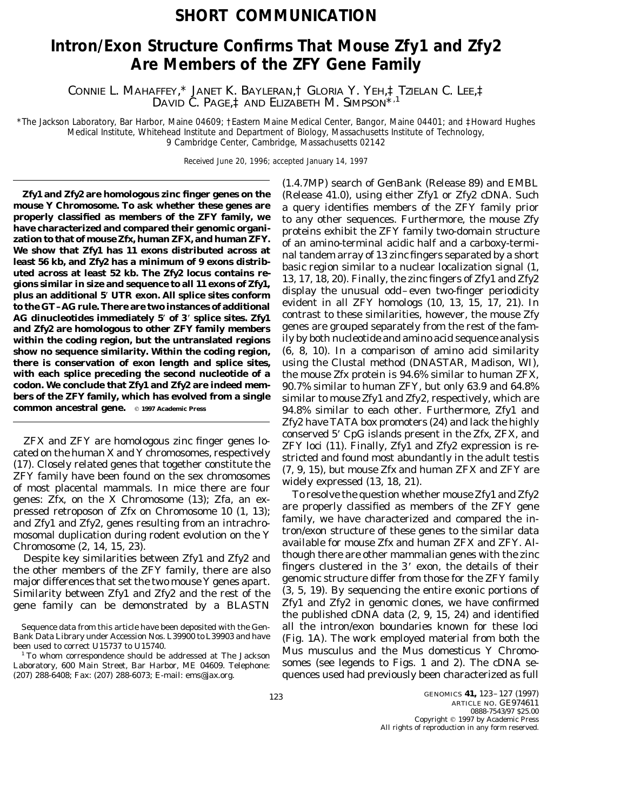## **SHORT COMMUNICATION**

## **Intron/Exon Structure Confirms That Mouse** *Zfy1* **and** *Zfy2* **Are Members of the** *ZFY* **Gene Family**

CONNIE L. MAHAFFEY,\* JANET K. BAYLERAN,† GLORIA Y. YEH,‡ TZIELAN C. LEE,‡ DAVID C. PAGE,<sup>†</sup> AND ELIZABETH M. SIMPSON<sup>\*,1</sup>

\**The Jackson Laboratory, Bar Harbor, Maine 04609;* †*Eastern Maine Medical Center, Bangor, Maine 04401; and* ‡*Howard Hughes Medical Institute, Whitehead Institute and Department of Biology, Massachusetts Institute of Technology, 9 Cambridge Center, Cambridge, Massachusetts 02142*

Received June 20, 1996; accepted January 14, 1997

mouse Y Chromosome. To ask whether these genes are<br>properly classified as members of the ZFY family, we<br>properly classified as members of the ZFY family, we<br>have characterized and compared their genomic organi-<br>proteins e and *Zfy2* are homologous to other *ZFY* family members genes are grouped separately from the rest of the fam-<br>within the coding region, but the untranslated regions ily by both nucleotide and amino acid sequence analysis within the coding region, but the untranslated regions **show no sequence similarity. Within the coding region,** (6, 8, 10). In a comparison of amino acid similarity **there is conservation of exon length and splice sites,** using the Clustal method (DNASTAR, Madison, WI), **with each splice preceding the second nucleotide of a** the mouse Zfx protein is 94.6% similar to human ZFX, **codon. We conclude that** *Zfy1* **and** *Zfy2* **are indeed mem-** 90.7% similar to human ZFY, but only 63.9 and 64.8%

*ZFX* and *ZFY* are homologous zinc finger genes located on the human X and Y chromosomes, respectively<br>(17). Closely related genes that together constitute the *ZFY* loci (11). Finally, *Zfy1* and *Zfy2* expression is re and *Zfy1* and *Zfy2*, genes resulting from an intrachromosomal duplication during rodent evolution on the Y tron/exon structure of these genes to the similar data mosomal duplication during rodent evolution on the Y

the other members of the *ZFY* family, there are also **impleme** clustered in the 3<sup>+</sup> exon, the details of their major differences that set the two mouse Y genes apart genomic structure differ from those for the *ZFY* fami Similarity between *Zfy1* and *Zfy2* and the rest of the

(1.4.7MP) search of GenBank (Release 89) and EMBL *Zfy1* **and** *Zfy2* **are homologous zinc finger genes on the** (Release 41.0), using either *Zfy1* or *Zfy2* cDNA. Such AG dinucleotides immediately 5' of 3' splice sites.  $Zfy1$  contrast to these similarities, however, the mouse  $Zfy$ **bers of the ZFY family, which has evolved from a single** similar to mouse Zfy1 and Zfy2, respectively, which are common ancestral gene.  $\circ$  1997 Academic Press 94.8% similar to each other. Furthermore, Zfy1 and *Zfy2* have TATA box promoters (24) and lack the highly

available for mouse *Zfx* and human *ZFX* and *ZFY*. Al-<br>Chromosome (2, 14, 15, 23). The contract of *Zfx2* and *Zfx2* and *chromosome (2, 14, 15, 23).* Despite *November 25th* and *Zfx2* and *though* there are other mamma Despite key similarities between *Zfy1* and *Zfy2* and *Lindugh there are other mammalian genes with the zinc De* other mambers of the *ZFV* family there are also fingers clustered in the 3' exon, the details of their major differences that set the two mouse Y genes apart. genomic structure differ from those for the *ZFY* family<br>Similarity between *Zfy1* and *Zfy2* and the rest of the (3, 5, 19). By sequencing the entire exonic portions gene family can be demonstrated by a BLASTN *Zfy1* and *Zfy2* in genomic clones, we have confirmed the published cDNA data (2, 9, 15, 24) and identified Sequence data from this article have been deposited with the Gen- all the intron/exon boundaries known for these loci<br>Bank Data Library under Accession Nos. L39900 to L39903 and have (Fig. 1A) The work employed material fr Bank Data Library under Accession Nos. L39900 to L39903 and have (Fig. 1A). The work employed material from both the been used to correct U15737 to U15740. <sup>1</sup> To whom correspondence should be addressed at The Jackson *Mus musculus* and the *Mus domesticus* Y Chromo-Laboratory, 600 Main Street, Bar Harbor, ME 04609. Telephone: somes (see legends to Figs. 1 and 2). The cDNA se-(207) 288-6408; Fax: (207) 288-6073; E-mail: ems@jax.org. quences used had previously been characterized as full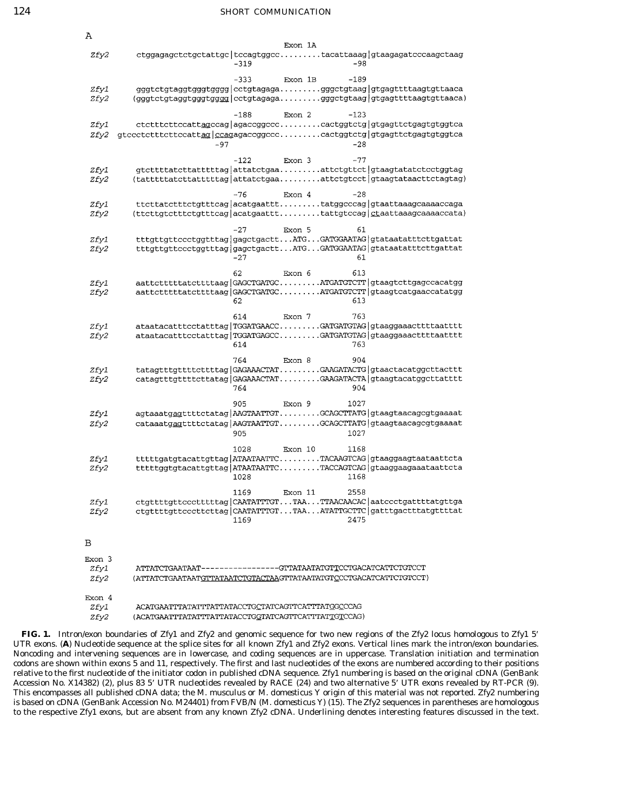| Α                             |                                                                                                                                     |                |         |                 |                                                                                                                                         |
|-------------------------------|-------------------------------------------------------------------------------------------------------------------------------------|----------------|---------|-----------------|-----------------------------------------------------------------------------------------------------------------------------------------|
| <i>Zfy2</i>                   |                                                                                                                                     | $-319$         | Exon 1A | $-98$           | ctggagagctctgctattgc tccagtggcctacattaaag gtaagagatcccaagctaag                                                                          |
| <i>Zfyl</i><br>Zfy2           | (gggtctgtaggtgggtgggg cctgtagagagggctgtaag gtgagttttaagtgttaaca)                                                                    | $-333$         | Exon 1B | $-189$          | gggtctgtaggtgggtgggg cctgtagagagggctgtaag gtgagttttaagtgttaaca                                                                          |
| <i>Zfyl</i><br>Zfy2           | gtccctctttcttccattag   ccagagaccggccccactggtctg   gtgagttctgagtgtggtca<br>$-97$                                                     | $-188$         | Exon 2  | $-123$<br>$-28$ | ctctttcttccattagccag agaccggccccactggtctg gtgagttctgagtgtggtca                                                                          |
| Zfy1<br>Zfy2                  | (tatttttatcttatttttag attatctgaaattctgtcct gtaagtataacttctagtag)                                                                    | $-122$         | Exon 3  | $-77$           | gtcttttatcttatttttag attatctgaaattctgttct gtaagtatatctcctggtag                                                                          |
| <i>Zfyl</i><br>Zfy2           | (ttcttgtctttctgtttcag acatgaattttattgtccag ctaattaaagcaaaaccata)                                                                    | -76            | Exon 4  | $-28$           | ttcttatctttctgtttcag acatgaattttatggcccag gtaattaaagcaaaaccaga                                                                          |
| Zfy1<br>Zfy2                  |                                                                                                                                     | $-27$<br>$-27$ | Exon 5  | 61<br>61        | tttgttgttccctggtttag gagctgacttATGGATGGAATAG gtataatatttcttgattat<br>tttgttgttccctggtttag gagctgacttATGGATGGAATAG gtataatatttcttgattat  |
| <i>Zfyl</i><br><i>Zfy2</i>    |                                                                                                                                     | 62<br>62       | Exon 6  | 613<br>613      | aattcttttttatcttttaag GAGCTGATGCATGATGTCTT gtaagtcttgagccacatgg<br>aattcttttttatcttttaag GAGCTGATGCATGATGTCTT gtaagtcatgaaccatatgg      |
| <i>Zfy1</i><br>Zfy2           |                                                                                                                                     | 614<br>614     | Exon 7  | 763<br>763      | ataatacatttcctatttag TGGATGAACCGATGATGTAG gtaaggaaacttttaatttt<br>ataatacatttcctatttag TGGATGAGCCGATGATGTAG gtaaggaaacttttaatttt        |
| <i>Zfyl</i><br>Zfy2           |                                                                                                                                     | 764<br>764     | Exon 8  | 904<br>904      | tatagtttgttttcttttag GAGAAACTATGAAGATACTG gtaactacatggcttacttt<br>catagtttgttttcttatag GAGAAACTATGAAGATACTA gtaagtacatggcttatttt        |
| <i>Zfyl</i><br>Zfy2           |                                                                                                                                     | 905<br>905     | Exon 9  | 1027<br>1027    | agtaaatgagttttctatag AAGTAATTGTGCAGCTTATG gtaagtaacagcgtgaaaat<br>cataaatgagttttctatag AAGTAATTGTGCAGCTTATG gtaagtaacagcgtgaaaat        |
| Zfy1<br>Zfy2                  |                                                                                                                                     | 1028<br>1028   | Exon 10 | 1168<br>1168    | tttttgatgtacattgttag ATAATAATTCTACAAGTCAG gtaaggaagtaataattcta<br>tttttggtgtacattgttag ATAATAATTCTACCAGTCAG gtaaggaagaaataattcta        |
| <i>Zfyl</i><br><i>Zfy2</i>    |                                                                                                                                     | 1169<br>1169   | Exon 11 | 2558<br>2475    | ctgtttttgttccctttttag CAATATTTGTTAATTAACAACAC aatccctgattttatgttga<br>ctgttttgttcccttcttag CAATATTTGTTAAATATTGCTTC gatttgactttatgttttat |
| в                             |                                                                                                                                     |                |         |                 |                                                                                                                                         |
| Exon 3<br>Zfy1<br>Zfy2        | ATTATCTGAATAAT----------------GTTATAATATGTTCCTGACATCATTCTGTCCT<br>(ATTATCTGAATAATGTTATAATCTGTACTAAGTTATAATATGTCCCTGACATCATTCTGTCCT) |                |         |                 |                                                                                                                                         |
| Exon 4<br><i>Zfyl</i><br>Zfv2 | ACATGAATTTATATTTATTATACCTGCTATCAGTTCATTTATGGCCCAG<br>(ACATGAATTTATATTTATTATACCTGGTATCAGTTCATTTATTGTCCAG)                            |                |         |                 |                                                                                                                                         |

**FIG. 1.** Intron/exon boundaries of *Zfy1* and *Zfy2* and genomic sequence for two new regions of the *Zfy2* locus homologous to *Zfy1* 5\* UTR exons. (**A**) Nucleotide sequence at the splice sites for all known *Zfy1* and *Zfy2* exons. Vertical lines mark the intron/exon boundaries. Noncoding and intervening sequences are in lowercase, and coding sequences are in uppercase. Translation initiation and termination codons are shown within exons 5 and 11, respectively. The first and last nucleotides of the exons are numbered according to their positions relative to the first nucleotide of the initiator codon in published cDNA sequence. *Zfy1* numbering is based on the original cDNA (GenBank Accession No. X14382) (2), plus 83 5' UTR nucleotides revealed by RACE (24) and two alternative 5' UTR exons revealed by RT-PCR (9). This encompasses all published cDNA data; the *M. musculus* or *M. domesticus* Y origin of this material was not reported. *Zfy2* numbering is based on cDNA (GenBank Accession No. M24401) from FVB/N (*M. domesticus* Y) (15). The *Zfy2* sequences in parentheses are homologous to the respective *Zfy1* exons, but are absent from any known *Zfy2* cDNA. Underlining denotes interesting features discussed in the text.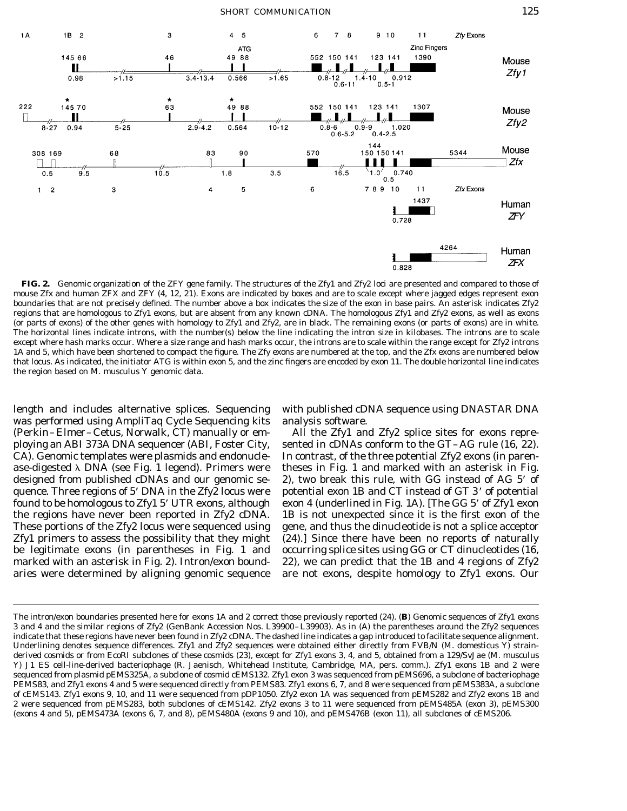

**FIG. 2.** Genomic organization of the *ZFY* gene family. The structures of the *Zfy1* and *Zfy2* loci are presented and compared to those of mouse *Zfx* and human *ZFX* and *ZFY* (4, 12, 21). Exons are indicated by boxes and are to scale except where jagged edges represent exon boundaries that are not precisely defined. The number above a box indicates the size of the exon in base pairs. An asterisk indicates *Zfy2* regions that are homologous to *Zfy1* exons, but are absent from any known cDNA. The homologous *Zfy1* and *Zfy2* exons, as well as exons (or parts of exons) of the other genes with homology to *Zfy1* and *Zfy2,* are in black. The remaining exons (or parts of exons) are in white. The horizontal lines indicate introns, with the number(s) below the line indicating the intron size in kilobases. The introns are to scale except where hash marks occur. Where a size range and hash marks occur, the introns are to scale within the range except for *Zfy2* introns 1A and 5, which have been shortened to compact the figure. The *Zfy* exons are numbered at the top, and the *Zfx* exons are numbered below that locus. As indicated, the initiator ATG is within exon 5, and the zinc fingers are encoded by exon 11. The double horizontal line indicates the region based on *M. musculus* Y genomic data.

length and includes alternative splices. Sequencing with published cDNA sequence using DNASTAR DNA was performed using AmpliTaq Cycle Sequencing kits analysis software. (Perkin–Elmer–Cetus, Norwalk, CT) manually or em- All the *Zfy1* and *Zfy2* splice sites for exons repreploying an ABI 373A DNA sequencer (ABI, Foster City, sented in cDNAs conform to the GT–AG rule (16, 22). CA). Genomic templates were plasmids and endonucle- In contrast, of the three potential *Zfy2* exons (in parenase-digested  $\lambda$  DNA (see Fig. 1 legend). Primers were theses in Fig. 1 and marked with an asterisk in Fig. designed from published cDNAs and our genomic se- 2), two break this rule, with GG instead of AG 5' of quence. Three regions of 5<sup>'</sup> DNA in the *Zfy2* locus were potential exon 1B and CT instead of GT 3' of potential found to be homologous to *Zfy1* 5\* UTR exons, although exon 4 (underlined in Fig. 1A). [The GG 5\* of *Zfy1* exon the regions have never been reported in *Zfy2* cDNA. 1B is not unexpected since it is the first exon of the These portions of the *Zfy2* locus were sequenced using gene, and thus the dinucleotide is not a splice acceptor *Zfy1* primers to assess the possibility that they might (24).] Since there have been no reports of naturally be legitimate exons (in parentheses in Fig. 1 and occurring splice sites using GG or CT dinucleotides (16, marked with an asterisk in Fig. 2). Intron/exon bound- 22), we can predict that the 1B and 4 regions of *Zfy2* aries were determined by aligning genomic sequence are not exons, despite homology to *Zfy1* exons. Our

The intron/exon boundaries presented here for exons 1A and 2 correct those previously reported (24). (**B**) Genomic sequences of *Zfy1* exons 3 and 4 and the similar regions of *Zfy2* (GenBank Accession Nos. L39900–L39903). As in (A) the parentheses around the *Zfy2* sequences indicate that these regions have never been found in *Zfy2* cDNA. The dashed line indicates a gap introduced to facilitate sequence alignment. Underlining denotes sequence differences. *Zfy1* and *Zfy2* sequences were obtained either directly from FVB/N (*M. domesticus* Y) strainderived cosmids or from *Eco*RI subclones of these cosmids (23), except for *Zfy1* exons 3, 4, and 5, obtained from a 129/SvJae (*M. musculus* Y) J1 ES cell-line-derived bacteriophage (R. Jaenisch, Whitehead Institute, Cambridge, MA, pers. comm.). *Zfy1* exons 1B and 2 were sequenced from plasmid pEMS325A, a subclone of cosmid cEMS132. *Zfy1* exon 3 was sequenced from pEMS696, a subclone of bacteriophage PEMS83, and *Zfy1* exons 4 and 5 were sequenced directly from PEMS83. *Zfy1* exons 6, 7, and 8 were sequenced from pEMS383A, a subclone of cEMS143. *Zfy1* exons 9, 10, and 11 were sequenced from pDP1050. *Zfy2* exon 1A was sequenced from pEMS282 and *Zfy2* exons 1B and 2 were sequenced from pEMS283, both subclones of cEMS142. *Zfy2* exons 3 to 11 were sequenced from pEMS485A (exon 3), pEMS300 (exons 4 and 5), pEMS473A (exons 6, 7, and 8), pEMS480A (exons 9 and 10), and pEMS476B (exon 11), all subclones of cEMS206.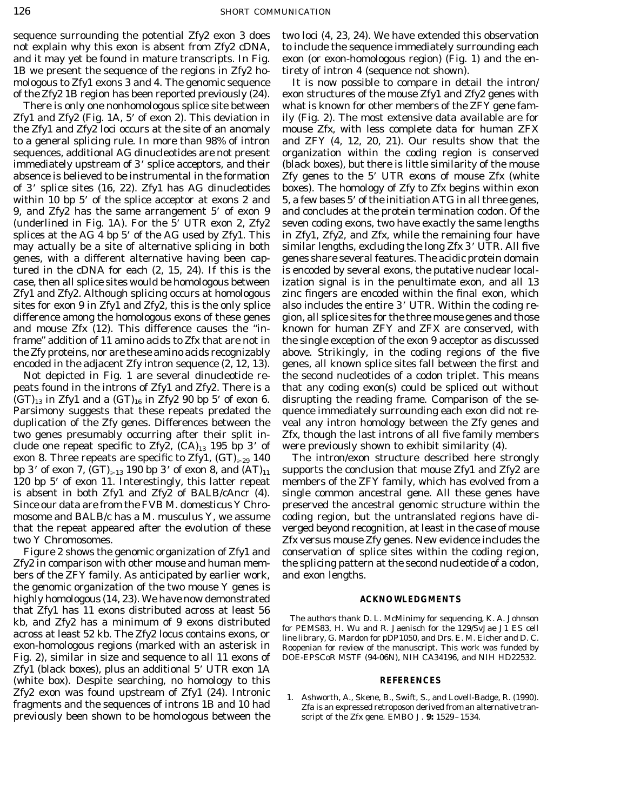*Zfy1* and *Zfy2* (Fig. 1A, 5\* of exon 2). This deviation in ily (Fig. 2). The most extensive data available are for to a general splicing rule. In more than 98% of intron and *ZFY* (4, 12, 20, 21). Our results show that the sequences, additional AG dinucleotides are not present organization within the coding region is conserved immediately upstream of 3' splice acceptors, and their (black boxes), but there is little similarity of the mouse absence is believed to be instrumental in the formation *Zfy* genes to the 5\* UTR exons of mouse *Zfx* (white of 3\* splice sites (16, 22). *Zfy1* has AG dinucleotides boxes). The homology of *Zfy* to *Zfx* begins within exon within 10 bp 5' of the splice acceptor at exons 2 and  $5$ , a few bases 5' of the initiation ATG in all three genes, 9, and *Zfy2* has the same arrangement 5' of exon 9 and concludes at the protein termination codon. Of the (underlined in Fig. 1A). For the 5\* UTR exon 2, *Zfy2* seven coding exons, two have exactly the same lengths splices at the AG 4 bp 5\* of the AG used by *Zfy1.* This in *Zfy1, Zfy2,* and *Zfx,* while the remaining four have may actually be a site of alternative splicing in both similar lengths, excluding the long *Zfx* 3\* UTR. All five genes, with a different alternative having been cap- genes share several features. The acidic protein domain tured in the cDNA for each (2, 15, 24). If this is the is encoded by several exons, the putative nuclear localcase, then all splice sites would be homologous between ization signal is in the penultimate exon, and all 13 *Zfy1* and *Zfy2.* Although splicing occurs at homologous zinc fingers are encoded within the final exon, which sites for exon 9 in *Zfy1* and *Zfy2,* this is the only splice also includes the entire 3\* UTR. Within the coding redifference among the homologous exons of these genes gion, all splice sites for the three mouse genes and those and mouse *Zfx* (12). This difference causes the ''in- known for human *ZFY* and *ZFX* are conserved, with frame'' addition of 11 amino acids to Zfx that are not in the single exception of the exon 9 acceptor as discussed the Zfy proteins, nor are these amino acids recognizably above. Strikingly, in the coding regions of the five

peats found in the introns of *Zfy1* and *Zfy2.* There is a that any coding exon(s) could be spliced out without  $(GT)_{13}$  in *Zfy1* and a  $(GT)_{16}$  in *Zfy2* 90 bp 5' of exon 6. disrupting the reading frame. Comparison of the se-Parsimony suggests that these repeats predated the quence immediately surrounding each exon did not reduplication of the *Zfy* genes. Differences between the veal any intron homology between the *Zfy* genes and two genes presumably occurring after their split in- *Zfx,* though the last introns of all five family members clude one repeat specific to  $Zfyz$ ,  $(CA)_{13}$  195 bp 3' of were previously shown to exhibit similarity (4). exon 8. Three repeats are specific to  $Zfyl$ ,  $(GT)_{\geq 29}$  140 The intron/exon structure described here strongly bp 3' of exon 7,  $(GT)_{\geq 13}$  190 bp 3' of exon 8, and  $(AT)_{11}$  supports the conclusion that mouse *Zfy1* and *Zfy2* are 120 bp 5\* of exon 11. Interestingly, this latter repeat members of the *ZFY* family, which has evolved from a is absent in both *Zfy1* and *Zfy2* of BALB/cAncr (4). single common ancestral gene. All these genes have Since our data are from the FVB *M. domesticus* Y Chro- preserved the ancestral genomic structure within the mosome and BALB/c has a *M. musculus* Y, we assume coding region, but the untranslated regions have dithat the repeat appeared after the evolution of these verged beyond recognition, at least in the case of mouse two Y Chromosomes. *Zfx* versus mouse *Zfy* genes. New evidence includes the

*Zfy2* in comparison with other mouse and human mem- the splicing pattern at the second nucleotide of a codon, bers of the *ZFY* family. As anticipated by earlier work, and exon lengths. the genomic organization of the two mouse Y genes is highly homologous (14, 23). We have now demonstrated **ACKNOWLEDGMENTS** that *Zfy1* has 11 exons distributed across at least 56 kb, and  $Zfy2$  has a minimum of 9 exons distributed<br>across at least 52 kb. The  $Zfy2$  locus contains exons, or  $\frac{1}{2}$  line library, G. Mardon for pDP1050, and Drs. E. M. Eicher and D. C. exon-homologous regions (marked with an asterisk in Roopenian for review of the manuscript. This work was funded by Fig. 2), similar in size and sequence to all 11 exons of DOE-EPSCoR MSTF (94-06N), NIH CA34196, and NIH HD22532. *Zfy1* (black boxes), plus an additional 5' UTR exon 1A (white box). Despite searching, no homology to this **REFERENCES**  $Zfy2$  exon was found upstream of  $Zfy1$  (24). Intronic 1. Ashworth, A., Skene, B., Swift, S., and Lovell-Badge, R. (1990).<br>fragments and the sequences of introns 1B and 10 had  $Zf$ a is an expressed retroposon derived fro previously been shown to be homologous between the script of the *Zfx* gene. *EMBO J.* **9:** 1529–1534.

sequence surrounding the potential *Zfy2* exon 3 does two loci (4, 23, 24). We have extended this observation not explain why this exon is absent from *Zfy2* cDNA, to include the sequence immediately surrounding each and it may yet be found in mature transcripts. In Fig. exon (or exon-homologous region) (Fig. 1) and the en-

mologous to *Zfy1* exons 3 and 4. The genomic sequence It is now possible to compare in detail the intron of the *Zfy2* 1B region has been reported previously (24). exon structures of the mouse *Zfy1* and *Zfy2* genes with There is only one nonhomologous splice site between what is known for other members of the *ZFY* gene famthe *Zfy1* and *Zfy2* loci occurs at the site of an anomaly mouse *Zfx,* with less complete data for human *ZFX* encoded in the adjacent *Zfy* intron sequence (2, 12, 13). genes, all known splice sites fall between the first and Not depicted in Fig. 1 are several dinucleotide re- the second nucleotides of a codon triplet. This means

Figure 2 shows the genomic organization of *Zfy1* and conservation of splice sites within the coding region,